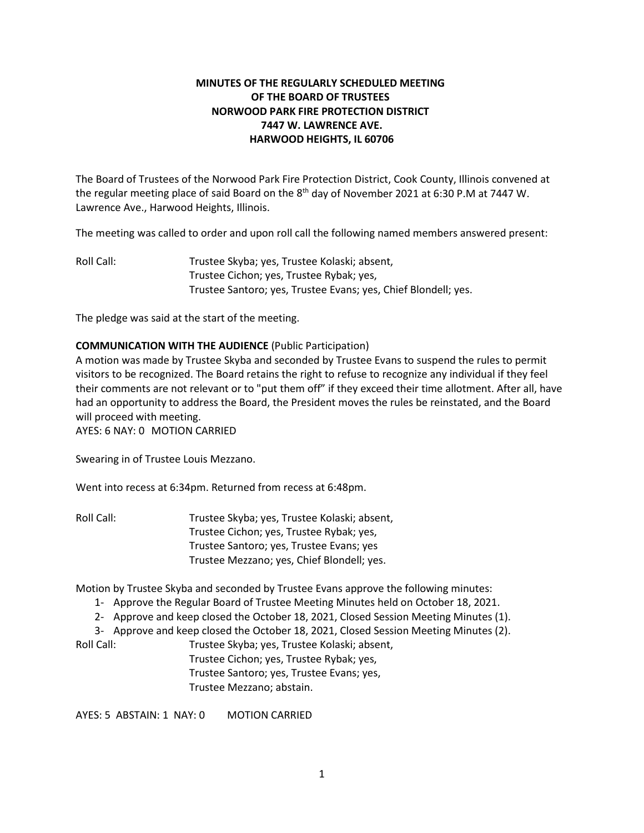# **MINUTES OF THE REGULARLY SCHEDULED MEETING OF THE BOARD OF TRUSTEES NORWOOD PARK FIRE PROTECTION DISTRICT 7447 W. LAWRENCE AVE. HARWOOD HEIGHTS, IL 60706**

The Board of Trustees of the Norwood Park Fire Protection District, Cook County, Illinois convened at the regular meeting place of said Board on the  $8<sup>th</sup>$  day of November 2021 at 6:30 P.M at 7447 W. Lawrence Ave., Harwood Heights, Illinois.

The meeting was called to order and upon roll call the following named members answered present:

Roll Call: Trustee Skyba; yes, Trustee Kolaski; absent, Trustee Cichon; yes, Trustee Rybak; yes, Trustee Santoro; yes, Trustee Evans; yes, Chief Blondell; yes.

The pledge was said at the start of the meeting.

# **COMMUNICATION WITH THE AUDIENCE** (Public Participation)

A motion was made by Trustee Skyba and seconded by Trustee Evans to suspend the rules to permit visitors to be recognized. The Board retains the right to refuse to recognize any individual if they feel their comments are not relevant or to "put them off" if they exceed their time allotment. After all, have had an opportunity to address the Board, the President moves the rules be reinstated, and the Board will proceed with meeting. AYES: 6 NAY: 0 MOTION CARRIED

Swearing in of Trustee Louis Mezzano.

Went into recess at 6:34pm. Returned from recess at 6:48pm.

Roll Call: Trustee Skyba; yes, Trustee Kolaski; absent, Trustee Cichon; yes, Trustee Rybak; yes, Trustee Santoro; yes, Trustee Evans; yes Trustee Mezzano; yes, Chief Blondell; yes.

Motion by Trustee Skyba and seconded by Trustee Evans approve the following minutes:

- 1- Approve the Regular Board of Trustee Meeting Minutes held on October 18, 2021.
- 2- Approve and keep closed the October 18, 2021, Closed Session Meeting Minutes (1).

3- Approve and keep closed the October 18, 2021, Closed Session Meeting Minutes (2).

Roll Call: Trustee Skyba; yes, Trustee Kolaski; absent, Trustee Cichon; yes, Trustee Rybak; yes, Trustee Santoro; yes, Trustee Evans; yes, Trustee Mezzano; abstain.

AYES: 5 ABSTAIN: 1 NAY: 0 MOTION CARRIED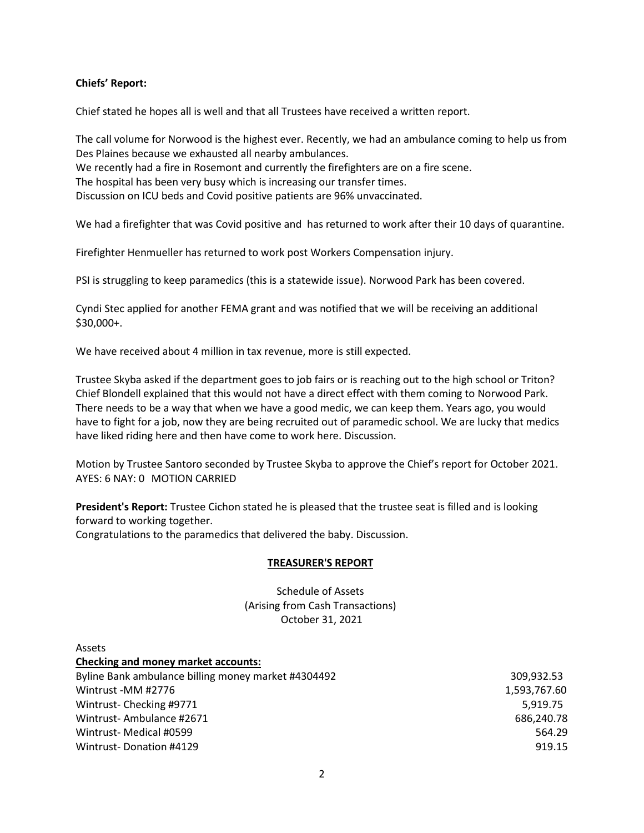## **Chiefs' Report:**

Chief stated he hopes all is well and that all Trustees have received a written report.

The call volume for Norwood is the highest ever. Recently, we had an ambulance coming to help us from Des Plaines because we exhausted all nearby ambulances. We recently had a fire in Rosemont and currently the firefighters are on a fire scene. The hospital has been very busy which is increasing our transfer times. Discussion on ICU beds and Covid positive patients are 96% unvaccinated.

We had a firefighter that was Covid positive and has returned to work after their 10 days of quarantine.

Firefighter Henmueller has returned to work post Workers Compensation injury.

PSI is struggling to keep paramedics (this is a statewide issue). Norwood Park has been covered.

Cyndi Stec applied for another FEMA grant and was notified that we will be receiving an additional \$30,000+.

We have received about 4 million in tax revenue, more is still expected.

Trustee Skyba asked if the department goes to job fairs or is reaching out to the high school or Triton? Chief Blondell explained that this would not have a direct effect with them coming to Norwood Park. There needs to be a way that when we have a good medic, we can keep them. Years ago, you would have to fight for a job, now they are being recruited out of paramedic school. We are lucky that medics have liked riding here and then have come to work here. Discussion.

Motion by Trustee Santoro seconded by Trustee Skyba to approve the Chief's report for October 2021. AYES: 6 NAY: 0 MOTION CARRIED

**President's Report:** Trustee Cichon stated he is pleased that the trustee seat is filled and is looking forward to working together.

Congratulations to the paramedics that delivered the baby. Discussion.

### **TREASURER'S REPORT**

Schedule of Assets (Arising from Cash Transactions) October 31, 2021

| Assets                                              |              |
|-----------------------------------------------------|--------------|
| <b>Checking and money market accounts:</b>          |              |
| Byline Bank ambulance billing money market #4304492 | 309.932.53   |
| Wintrust -MM #2776                                  | 1,593,767.60 |
| Wintrust-Checking #9771                             | 5.919.75     |
| Wintrust-Ambulance #2671                            | 686.240.78   |
| Wintrust-Medical #0599                              | 564.29       |
| Wintrust-Donation #4129                             | 919.15       |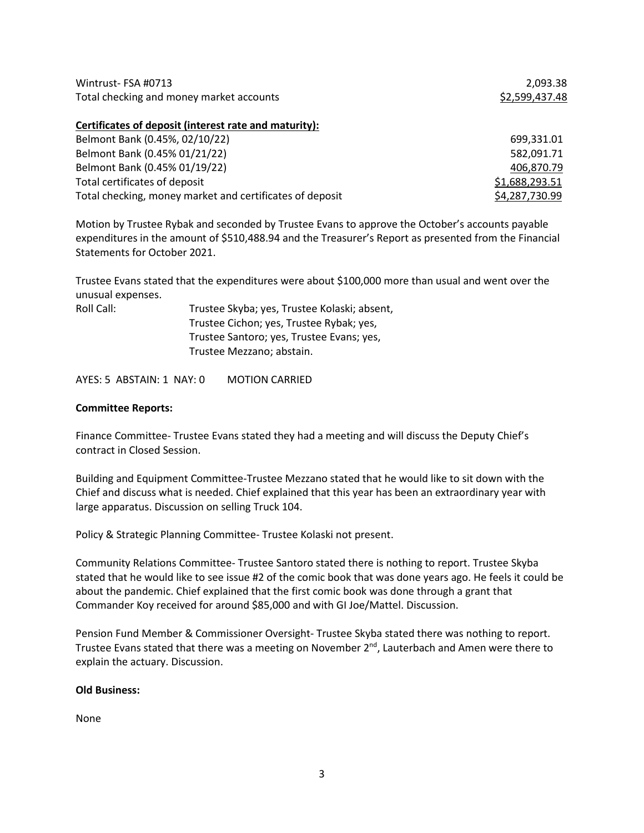| Wintrust-FSA #0713                       | 2.093.38       |
|------------------------------------------|----------------|
| Total checking and money market accounts | \$2,599,437.48 |

#### **Certificates of deposit (interest rate and maturity):**

| Belmont Bank (0.45%, 02/10/22)                           | 699,331.01     |
|----------------------------------------------------------|----------------|
| Belmont Bank (0.45% 01/21/22)                            | 582,091.71     |
| Belmont Bank (0.45% 01/19/22)                            | 406,870.79     |
| Total certificates of deposit                            | \$1,688,293.51 |
| Total checking, money market and certificates of deposit | \$4,287,730.99 |

Motion by Trustee Rybak and seconded by Trustee Evans to approve the October's accounts payable expenditures in the amount of \$510,488.94 and the Treasurer's Report as presented from the Financial Statements for October 2021.

Trustee Evans stated that the expenditures were about \$100,000 more than usual and went over the unusual expenses.

| Roll Call: | Trustee Skyba; yes, Trustee Kolaski; absent, |
|------------|----------------------------------------------|
|            | Trustee Cichon; yes, Trustee Rybak; yes,     |
|            | Trustee Santoro; yes, Trustee Evans; yes,    |
|            | Trustee Mezzano: abstain.                    |
|            |                                              |

AYES: 5 ABSTAIN: 1 NAY: 0 MOTION CARRIED

### **Committee Reports:**

Finance Committee- Trustee Evans stated they had a meeting and will discuss the Deputy Chief's contract in Closed Session.

Building and Equipment Committee-Trustee Mezzano stated that he would like to sit down with the Chief and discuss what is needed. Chief explained that this year has been an extraordinary year with large apparatus. Discussion on selling Truck 104.

Policy & Strategic Planning Committee- Trustee Kolaski not present.

Community Relations Committee- Trustee Santoro stated there is nothing to report. Trustee Skyba stated that he would like to see issue #2 of the comic book that was done years ago. He feels it could be about the pandemic. Chief explained that the first comic book was done through a grant that Commander Koy received for around \$85,000 and with GI Joe/Mattel. Discussion.

Pension Fund Member & Commissioner Oversight- Trustee Skyba stated there was nothing to report. Trustee Evans stated that there was a meeting on November 2<sup>nd</sup>, Lauterbach and Amen were there to explain the actuary. Discussion.

## **Old Business:**

None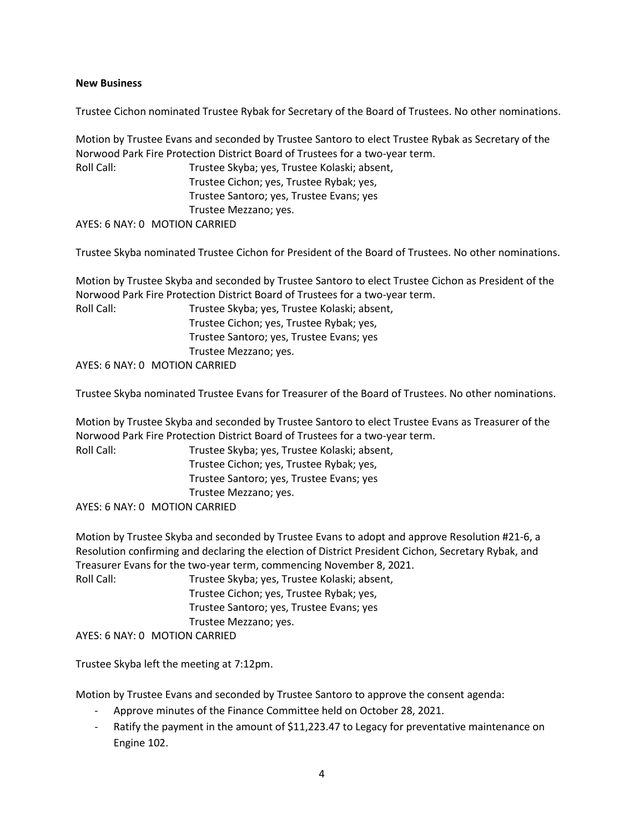## **New Business**

Trustee Cichon nominated Trustee Rybak for Secretary of the Board of Trustees. No other nominations.

Motion by Trustee Evans and seconded by Trustee Santoro to elect Trustee Rybak as Secretary of the Norwood Park Fire Protection District Board of Trustees for a two-year term. Roll Call: Trustee Skyba; yes, Trustee Kolaski; absent,

Trustee Cichon; yes, Trustee Rybak; yes, Trustee Santoro; yes, Trustee Evans; yes Trustee Mezzano; yes.

AYES: 6 NAY: 0 MOTION CARRIED

Trustee Skyba nominated Trustee Cichon for President of the Board of Trustees. No other nominations.

Motion by Trustee Skyba and seconded by Trustee Santoro to elect Trustee Cichon as President of the Norwood Park Fire Protection District Board of Trustees for a two-year term.

Roll Call: Trustee Skyba; yes, Trustee Kolaski; absent, Trustee Cichon; yes, Trustee Rybak; yes, Trustee Santoro; yes, Trustee Evans; yes Trustee Mezzano; yes.

AYES: 6 NAY: 0 MOTION CARRIED

Trustee Skyba nominated Trustee Evans for Treasurer of the Board of Trustees. No other nominations.

Motion by Trustee Skyba and seconded by Trustee Santoro to elect Trustee Evans as Treasurer of the Norwood Park Fire Protection District Board of Trustees for a two-year term.

Roll Call: Trustee Skyba; yes, Trustee Kolaski; absent, Trustee Cichon; yes, Trustee Rybak; yes, Trustee Santoro; yes, Trustee Evans; yes Trustee Mezzano; yes.

AYES: 6 NAY: 0 MOTION CARRIED

Motion by Trustee Skyba and seconded by Trustee Evans to adopt and approve Resolution #21-6, a Resolution confirming and declaring the election of District President Cichon, Secretary Rybak, and Treasurer Evans for the two-year term, commencing November 8, 2021.

Roll Call: Trustee Skyba; yes, Trustee Kolaski; absent, Trustee Cichon; yes, Trustee Rybak; yes, Trustee Santoro; yes, Trustee Evans; yes Trustee Mezzano; yes. AYES: 6 NAY: 0 MOTION CARRIED

Trustee Skyba left the meeting at 7:12pm.

Motion by Trustee Evans and seconded by Trustee Santoro to approve the consent agenda:

- Approve minutes of the Finance Committee held on October 28, 2021.
- Ratify the payment in the amount of \$11,223.47 to Legacy for preventative maintenance on Engine 102.